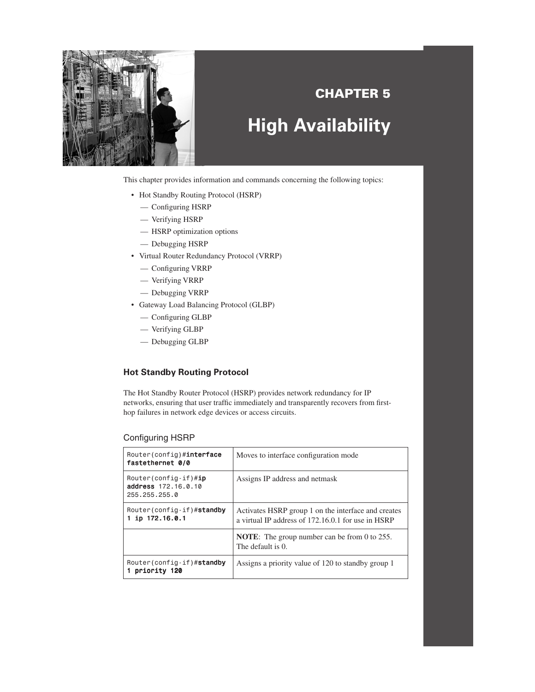

# **CHAPTER 5 High Availability**

This chapter provides information and commands concerning the following topics:

- Hot Standby Routing Protocol (HSRP)
	- Configuring HSRP
	- Verifying HSRP
	- HSRP optimization options
	- Debugging HSRP
- Virtual Router Redundancy Protocol (VRRP)
	- Configuring VRRP
	- Verifying VRRP
	- Debugging VRRP
- Gateway Load Balancing Protocol (GLBP)
	- Configuring GLBP
	- Verifying GLBP
	- Debugging GLBP

## **Hot Standby Routing Protocol**

The Hot Standby Router Protocol (HSRP) provides network redundancy for IP networks, ensuring that user traffic immediately and transparently recovers from firsthop failures in network edge devices or access circuits.

### Configuring HSRP

| Router(config)# <b>interface</b><br>fastethernet 0/0                       | Moves to interface configuration mode                                                                     |
|----------------------------------------------------------------------------|-----------------------------------------------------------------------------------------------------------|
| Router (config-if) $\#\textbf{ip}$<br>address 172.16.0.10<br>255.255.255.0 | Assigns IP address and netmask                                                                            |
| Router(config-if)#standby<br>ip 172.16.0.1                                 | Activates HSRP group 1 on the interface and creates<br>a virtual IP address of 172.16.0.1 for use in HSRP |
|                                                                            | <b>NOTE:</b> The group number can be from 0 to 255.<br>The default is 0.                                  |
| Router(config-if)#standby<br>priority 120                                  | Assigns a priority value of 120 to standby group 1                                                        |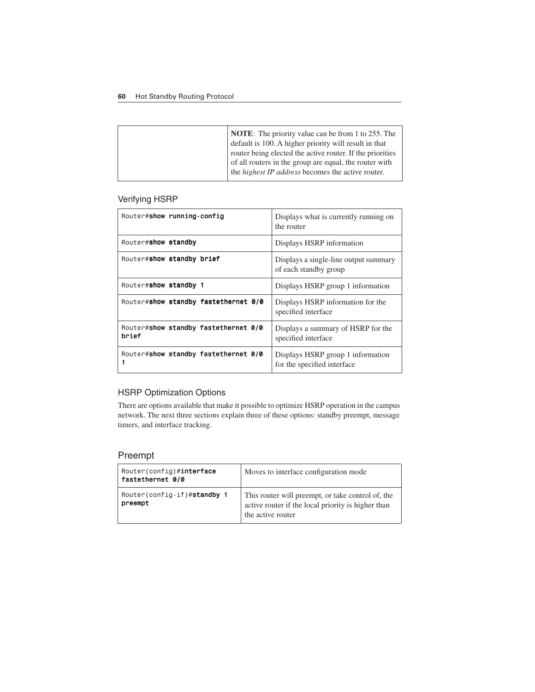#### **60** Hot Standby Routing Protocol

## Verifying HSRP

| Router#show running-config                    | Displays what is currently running on<br>the router              |
|-----------------------------------------------|------------------------------------------------------------------|
| Router#show standby                           | Displays HSRP information                                        |
| Router#show standby brief                     | Displays a single-line output summary<br>of each standby group   |
| Router#show standby 1                         | Displays HSRP group 1 information                                |
| Router#show standby fastethernet 0/0          | Displays HSRP information for the<br>specified interface         |
| Router#show standby fastethernet 0/0<br>brief | Displays a summary of HSRP for the<br>specified interface        |
| Router#show standby fastethernet 0/0<br>1     | Displays HSRP group 1 information<br>for the specified interface |

## HSRP Optimization Options

There are options available that make it possible to optimize HSRP operation in the campus network. The next three sections explain three of these options: standby preempt, message timers, and interface tracking.

## Preempt

| Router(config)#interface<br>fastethernet 0/0 | Moves to interface configuration mode                                                                |
|----------------------------------------------|------------------------------------------------------------------------------------------------------|
| Router(config-if)#standby 1                  | This router will preempt, or take control of, the active router if the local priority is higher than |
| preempt                                      | the active router                                                                                    |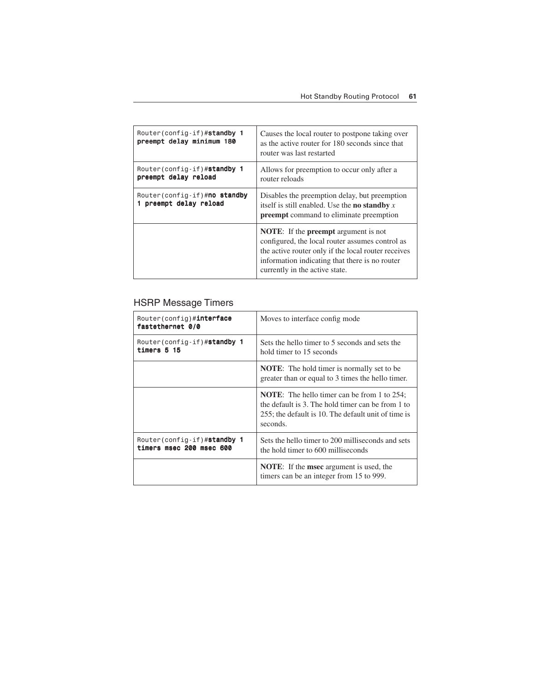| Router(config-if)#standby 1<br>preempt delay minimum 180 | Causes the local router to postpone taking over<br>as the active router for 180 seconds since that<br>router was last restarted                                                                                                                  |
|----------------------------------------------------------|--------------------------------------------------------------------------------------------------------------------------------------------------------------------------------------------------------------------------------------------------|
| Router(config-if)#standby 1<br>preempt delay reload      | Allows for preemption to occur only after a<br>router reloads                                                                                                                                                                                    |
| Router(config-if)#no standby<br>preempt delay reload     | Disables the preemption delay, but preemption<br>itself is still enabled. Use the <b>no standby</b> $x$<br><b>preempt</b> command to eliminate preemption                                                                                        |
|                                                          | <b>NOTE:</b> If the <b>preempt</b> argument is not<br>configured, the local router assumes control as<br>the active router only if the local router receives<br>information indicating that there is no router<br>currently in the active state. |

# HSRP Message Timers

| Router(config)# <b>interface</b><br>fastethernet 0/0    | Moves to interface config mode.                                                                                                                                            |
|---------------------------------------------------------|----------------------------------------------------------------------------------------------------------------------------------------------------------------------------|
| Router(config-if)#standby 1<br>timers 5 15              | Sets the hello timer to 5 seconds and sets the<br>hold timer to 15 seconds                                                                                                 |
|                                                         | <b>NOTE:</b> The hold timer is normally set to be<br>greater than or equal to 3 times the hello timer.                                                                     |
|                                                         | <b>NOTE:</b> The hello timer can be from 1 to 254;<br>the default is 3. The hold timer can be from 1 to<br>255; the default is 10. The default unit of time is<br>seconds. |
| Router(config-if)#standby 1<br>timers msec 200 msec 600 | Sets the hello timer to 200 milliseconds and sets<br>the hold timer to 600 milliseconds                                                                                    |
|                                                         | <b>NOTE:</b> If the <b>msec</b> argument is used, the<br>timers can be an integer from 15 to 999.                                                                          |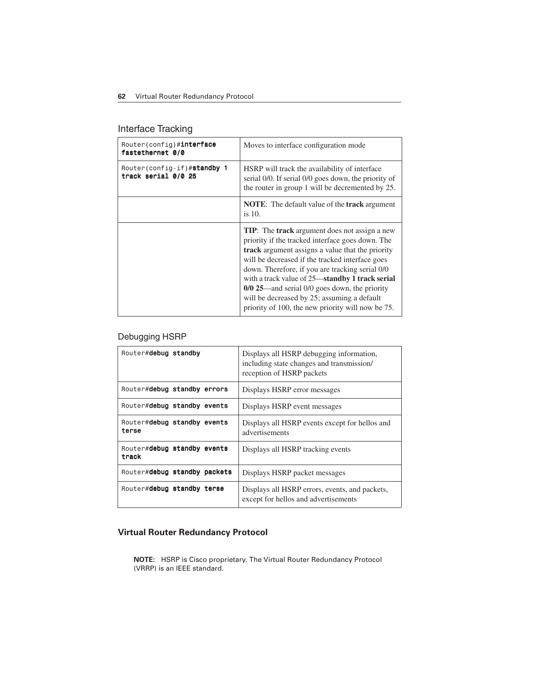# Interface Tracking

| Router(config)#interface<br>fastethernet 0/0               | Moves to interface configuration mode.                                                                                                                                                                                                                                                                                                                                                                                                                                                       |
|------------------------------------------------------------|----------------------------------------------------------------------------------------------------------------------------------------------------------------------------------------------------------------------------------------------------------------------------------------------------------------------------------------------------------------------------------------------------------------------------------------------------------------------------------------------|
| Router(config-if)# <b>standby 1</b><br>track serial 0/0 25 | HSRP will track the availability of interface<br>serial 0/0. If serial 0/0 goes down, the priority of<br>the router in group 1 will be decremented by 25.                                                                                                                                                                                                                                                                                                                                    |
|                                                            | <b>NOTE:</b> The default value of the <b>track</b> argument<br>is $10$ .                                                                                                                                                                                                                                                                                                                                                                                                                     |
|                                                            | <b>TIP:</b> The <b>track</b> argument does not assign a new<br>priority if the tracked interface goes down. The<br><b>track</b> argument assigns a value that the priority<br>will be decreased if the tracked interface goes<br>down. Therefore, if you are tracking serial 0/0<br>with a track value of 25—standby 1 track serial<br>$0/0$ 25—and serial $0/0$ goes down, the priority<br>will be decreased by 25; assuming a default<br>priority of 100, the new priority will now be 75. |

## Debugging HSRP

| Router#debug standby                 | Displays all HSRP debugging information,<br>including state changes and transmission/<br>reception of HSRP packets |
|--------------------------------------|--------------------------------------------------------------------------------------------------------------------|
| Router#debug standby errors          | Displays HSRP error messages                                                                                       |
| Router#debug standby events          | Displays HSRP event messages                                                                                       |
| Router#debug standby events<br>terse | Displays all HSRP events except for hellos and<br>advertisements                                                   |
| Router#debug standby events<br>track | Displays all HSRP tracking events                                                                                  |
| Router#debug standby packets         | Displays HSRP packet messages                                                                                      |
| Router#debug standby terse           | Displays all HSRP errors, events, and packets,<br>except for hellos and advertisements                             |

# **Virtual Router Redundancy Protocol**

**NOTE:** HSRP is Cisco proprietary. The Virtual Router Redundancy Protocol (VRRP) is an IEEE standard.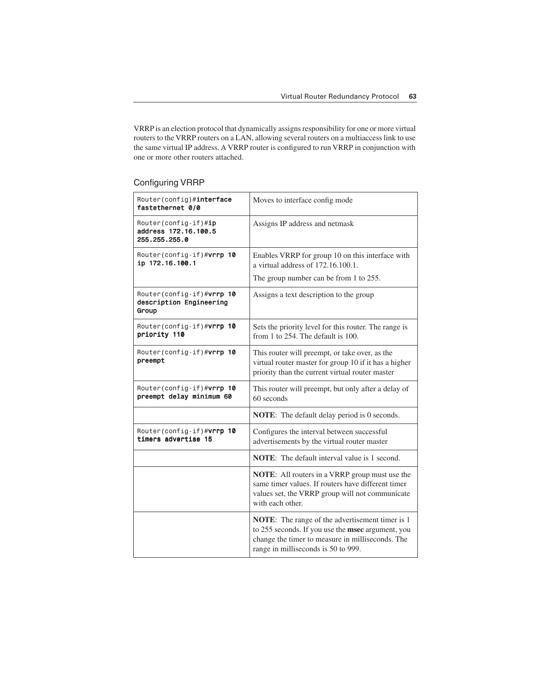VRRP is an election protocol that dynamically assigns responsibility for one or more virtual routers to the VRRP routers on a LAN, allowing several routers on a multiaccess link to use the same virtual IP address. A VRRP router is configured to run VRRP in conjunction with one or more other routers attached.

## Configuring VRRP

| Router(config)#interface<br>fastethernet 0/0                  | Moves to interface config mode                                                                                                                                                                  |
|---------------------------------------------------------------|-------------------------------------------------------------------------------------------------------------------------------------------------------------------------------------------------|
| Router(config-if)#ip<br>address 172.16.100.5<br>255.255.255.0 | Assigns IP address and netmask                                                                                                                                                                  |
| Router(config-if)#vrrp 10<br>ip 172.16.100.1                  | Enables VRRP for group 10 on this interface with<br>a virtual address of 172.16.100.1.                                                                                                          |
|                                                               | The group number can be from 1 to 255.                                                                                                                                                          |
| Router(config-if)#vrrp 10<br>description Engineering<br>Group | Assigns a text description to the group                                                                                                                                                         |
| Router(config-if)# <b>vrrp 10</b><br>priority 110             | Sets the priority level for this router. The range is<br>from 1 to 254. The default is 100.                                                                                                     |
| Router(config-if)#vrrp 10<br>preempt                          | This router will preempt, or take over, as the<br>virtual router master for group 10 if it has a higher<br>priority than the current virtual router master                                      |
| Router(config-if)# <b>vrrp 10</b><br>preempt delay minimum 60 | This router will preempt, but only after a delay of<br>60 seconds                                                                                                                               |
|                                                               | <b>NOTE:</b> The default delay period is 0 seconds.                                                                                                                                             |
| Router(config-if)# <b>vrrp 10</b><br>timers advertise 15      | Configures the interval between successful<br>advertisements by the virtual router master                                                                                                       |
|                                                               | <b>NOTE:</b> The default interval value is 1 second.                                                                                                                                            |
|                                                               | <b>NOTE:</b> All routers in a VRRP group must use the<br>same timer values. If routers have different timer<br>values set, the VRRP group will not communicate<br>with each other.              |
|                                                               | NOTE: The range of the advertisement timer is 1<br>to 255 seconds. If you use the msec argument, you<br>change the timer to measure in milliseconds. The<br>range in milliseconds is 50 to 999. |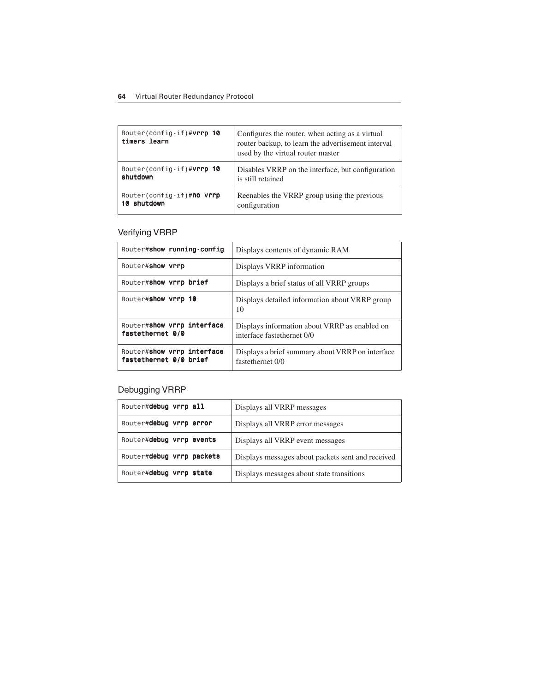### **64** Virtual Router Redundancy Protocol

| Router(config-if)#vrrp 10<br>timers learn | Configures the router, when acting as a virtual<br>router backup, to learn the advertisement interval<br>used by the virtual router master |
|-------------------------------------------|--------------------------------------------------------------------------------------------------------------------------------------------|
| Router(config-if)#vrrp 10                 | Disables VRRP on the interface, but configuration                                                                                          |
| shutdown                                  | is still retained                                                                                                                          |
| Router(config-if)#no vrrp                 | Reenables the VRRP group using the previous                                                                                                |
| 10 shutdown                               | configuration                                                                                                                              |

# Verifying VRRP

| Router#show running-config                           | Displays contents of dynamic RAM                                            |
|------------------------------------------------------|-----------------------------------------------------------------------------|
| Router#show vrrp                                     | Displays VRRP information                                                   |
| Router#show vrrp brief                               | Displays a brief status of all VRRP groups                                  |
| Router#show vrrp 10                                  | Displays detailed information about VRRP group<br>10                        |
| Router#show vrrp interface<br>fastethernet 0/0       | Displays information about VRRP as enabled on<br>interface fastethernet 0/0 |
| Router#show vrrp interface<br>fastethernet 0/0 brief | Displays a brief summary about VRRP on interface<br>fastethernet 0/0        |

# Debugging VRRP

| Router#debug vrrp all     | Displays all VRRP messages                        |
|---------------------------|---------------------------------------------------|
| Router#debug vrrp error   | Displays all VRRP error messages                  |
| Router#debug vrrp events  | Displays all VRRP event messages                  |
| Router#debug vrrp packets | Displays messages about packets sent and received |
| Router#debug vrrp state   | Displays messages about state transitions         |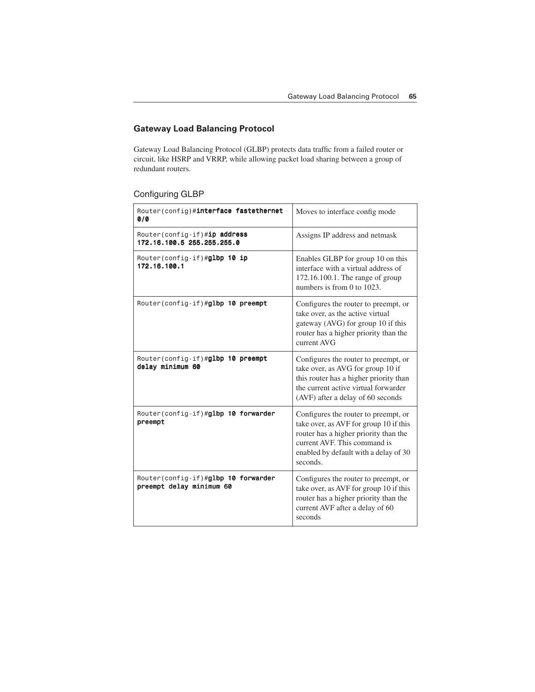# **Gateway Load Balancing Protocol**

Gateway Load Balancing Protocol (GLBP) protects data traffic from a failed router or circuit, like HSRP and VRRP, while allowing packet load sharing between a group of redundant routers.

# Configuring GLBP

| Router(config)#interface fastethernet<br>0/0                    | Moves to interface config mode                                                                                                                                                                               |
|-----------------------------------------------------------------|--------------------------------------------------------------------------------------------------------------------------------------------------------------------------------------------------------------|
| Router(config-if)#ip address<br>172.16.100.5 255.255.255.0      | Assigns IP address and netmask                                                                                                                                                                               |
| Router(config-if)#glbp 10 ip<br>172.16.100.1                    | Enables GLBP for group 10 on this<br>interface with a virtual address of<br>172.16.100.1. The range of group<br>numbers is from 0 to 1023.                                                                   |
| Router(config-if)#glbp 10 preempt                               | Configures the router to preempt, or<br>take over, as the active virtual<br>gateway (AVG) for group 10 if this<br>router has a higher priority than the<br>current AVG                                       |
| Router(config-if)#glbp 10 preempt<br>delay minimum 60           | Configures the router to preempt, or<br>take over, as AVG for group 10 if<br>this router has a higher priority than<br>the current active virtual forwarder<br>(AVF) after a delay of 60 seconds             |
| Router(config-if)#glbp 10 forwarder<br>preempt                  | Configures the router to preempt, or<br>take over, as AVF for group 10 if this<br>router has a higher priority than the<br>current AVF. This command is<br>enabled by default with a delay of 30<br>seconds. |
| Router(config-if)#glbp 10 forwarder<br>preempt delay minimum 60 | Configures the router to preempt, or<br>take over, as AVF for group 10 if this<br>router has a higher priority than the<br>current AVF after a delay of 60<br>seconds                                        |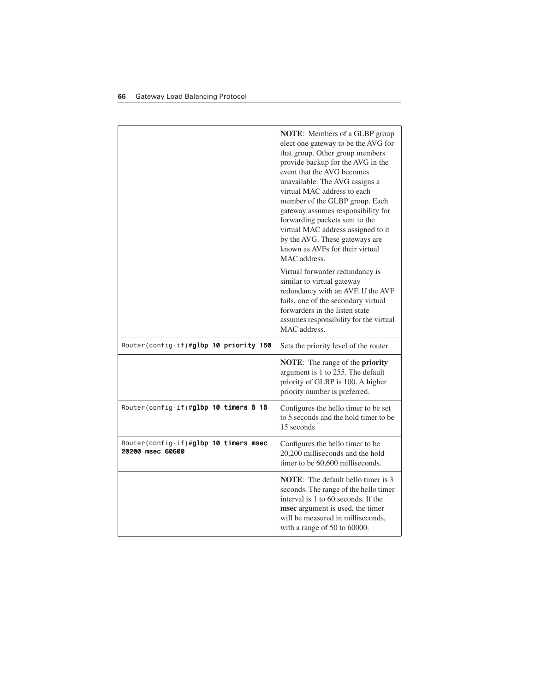|                                                                   | NOTE: Members of a GLBP group<br>elect one gateway to be the AVG for<br>that group. Other group members<br>provide backup for the AVG in the<br>event that the AVG becomes<br>unavailable. The AVG assigns a<br>virtual MAC address to each<br>member of the GLBP group. Each<br>gateway assumes responsibility for<br>forwarding packets sent to the<br>virtual MAC address assigned to it<br>by the AVG. These gateways are<br>known as AVFs for their virtual<br>MAC address.<br>Virtual forwarder redundancy is<br>similar to virtual gateway<br>redundancy with an AVF. If the AVF<br>fails, one of the secondary virtual<br>forwarders in the listen state<br>assumes responsibility for the virtual<br>MAC address. |
|-------------------------------------------------------------------|----------------------------------------------------------------------------------------------------------------------------------------------------------------------------------------------------------------------------------------------------------------------------------------------------------------------------------------------------------------------------------------------------------------------------------------------------------------------------------------------------------------------------------------------------------------------------------------------------------------------------------------------------------------------------------------------------------------------------|
| Router(config-if)#glbp 10 priority 150                            | Sets the priority level of the router                                                                                                                                                                                                                                                                                                                                                                                                                                                                                                                                                                                                                                                                                      |
|                                                                   | <b>NOTE:</b> The range of the <b>priority</b><br>argument is 1 to 255. The default<br>priority of GLBP is 100. A higher<br>priority number is preferred.                                                                                                                                                                                                                                                                                                                                                                                                                                                                                                                                                                   |
| Router(config-if)#glbp 10 timers 5 15                             | Configures the hello timer to be set<br>to 5 seconds and the hold timer to be<br>15 seconds                                                                                                                                                                                                                                                                                                                                                                                                                                                                                                                                                                                                                                |
| Router(config-if)# <b>glbp 10 timers msec</b><br>20200 msec 60600 | Configures the hello timer to be<br>20,200 milliseconds and the hold<br>timer to be 60,600 milliseconds.                                                                                                                                                                                                                                                                                                                                                                                                                                                                                                                                                                                                                   |
|                                                                   | <b>NOTE:</b> The default hello timer is 3<br>seconds. The range of the hello timer<br>interval is 1 to 60 seconds. If the<br>msec argument is used, the timer<br>will be measured in milliseconds,<br>with a range of 50 to 60000.                                                                                                                                                                                                                                                                                                                                                                                                                                                                                         |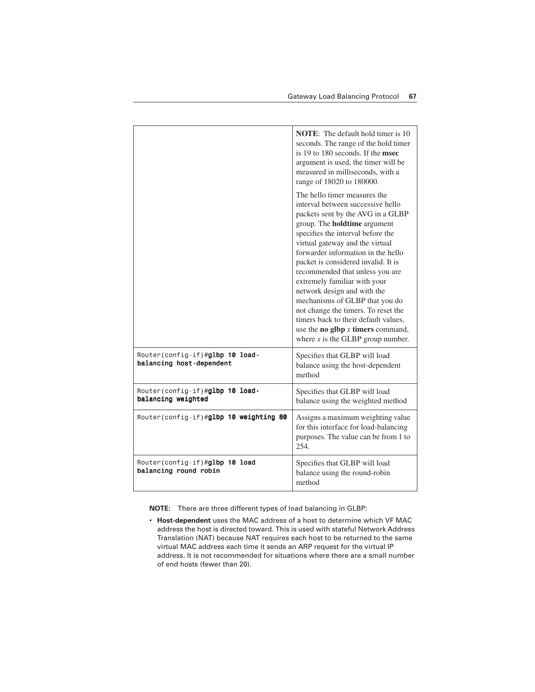|                                                             | <b>NOTE:</b> The default hold timer is 10<br>seconds. The range of the hold timer<br>is 19 to 180 seconds. If the msec<br>argument is used, the timer will be<br>measured in milliseconds, with a<br>range of 18020 to 180000.<br>The hello timer measures the                                                                                                                                                                                                                                                                                                             |
|-------------------------------------------------------------|----------------------------------------------------------------------------------------------------------------------------------------------------------------------------------------------------------------------------------------------------------------------------------------------------------------------------------------------------------------------------------------------------------------------------------------------------------------------------------------------------------------------------------------------------------------------------|
|                                                             | interval between successive hello<br>packets sent by the AVG in a GLBP<br>group. The <b>holdtime</b> argument<br>specifies the interval before the<br>virtual gateway and the virtual<br>forwarder information in the hello<br>packet is considered invalid. It is<br>recommended that unless you are<br>extremely familiar with your<br>network design and with the<br>mechanisms of GLBP that you do<br>not change the timers. To reset the<br>timers back to their default values,<br>use the <b>no</b> glbp $x$ timers command,<br>where $x$ is the GLBP group number. |
| Router(config-if)#glbp 10 load-<br>balancing host-dependent | Specifies that GLBP will load<br>balance using the host-dependent<br>method                                                                                                                                                                                                                                                                                                                                                                                                                                                                                                |
| Router(config-if)#glbp 10 load-<br>balancing weighted       | Specifies that GLBP will load<br>balance using the weighted method                                                                                                                                                                                                                                                                                                                                                                                                                                                                                                         |
| Router(config-if)#glbp 10 weighting 80                      | Assigns a maximum weighting value<br>for this interface for load-balancing<br>purposes. The value can be from 1 to<br>254.                                                                                                                                                                                                                                                                                                                                                                                                                                                 |
| Router (config-if)#glbp 10 load<br>balancing round robin    | Specifies that GLBP will load<br>balance using the round-robin<br>method                                                                                                                                                                                                                                                                                                                                                                                                                                                                                                   |

**NOTE:** There are three different types of load balancing in GLBP:

• **Host-dependent** uses the MAC address of a host to determine which VF MAC address the host is directed toward. This is used with stateful Network Address Translation (NAT) because NAT requires each host to be returned to the same virtual MAC address each time it sends an ARP request for the virtual IP address. It is not recommended for situations where there are a small number of end hosts (fewer than 20).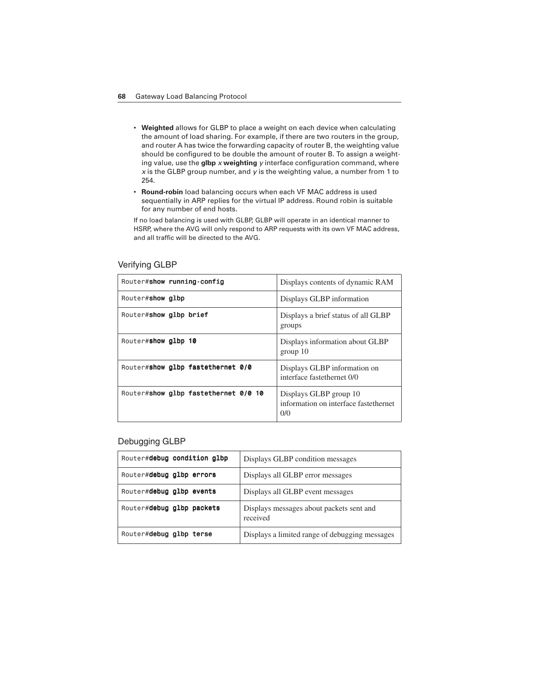- **Weighted** allows for GLBP to place a weight on each device when calculating the amount of load sharing. For example, if there are two routers in the group, and router A has twice the forwarding capacity of router B, the weighting value should be configured to be double the amount of router B. To assign a weighting value, use the **glbp** *x* **weighting** *y* interface configuration command, where *x* is the GLBP group number, and *y* is the weighting value, a number from 1 to 254.
- **Round-robin** load balancing occurs when each VF MAC address is used sequentially in ARP replies for the virtual IP address. Round robin is suitable for any number of end hosts.

If no load balancing is used with GLBP, GLBP will operate in an identical manner to HSRP, where the AVG will only respond to ARP requests with its own VF MAC address, and all traffic will be directed to the AVG.

| Router#show running-config           | Displays contents of dynamic RAM                                       |
|--------------------------------------|------------------------------------------------------------------------|
| Router#show glbp                     | Displays GLBP information                                              |
| Router#show glbp brief               | Displays a brief status of all GLBP<br>groups                          |
| Router#show glbp 10                  | Displays information about GLBP<br>group 10                            |
| Router#show glbp fastethernet 0/0    | Displays GLBP information on<br>interface fastethernet 0/0             |
| Router#show glbp fastethernet 0/0 10 | Displays GLBP group 10<br>information on interface fastethernet<br>0/0 |

#### Verifying GLBP

### Debugging GLBP

| Router#debug condition glbp | Displays GLBP condition messages                     |
|-----------------------------|------------------------------------------------------|
| Router#debug glbp errors    | Displays all GLBP error messages                     |
| Router#debug glbp events    | Displays all GLBP event messages                     |
| Router#debug glbp packets   | Displays messages about packets sent and<br>received |
| Router#debug glbp terse     | Displays a limited range of debugging messages       |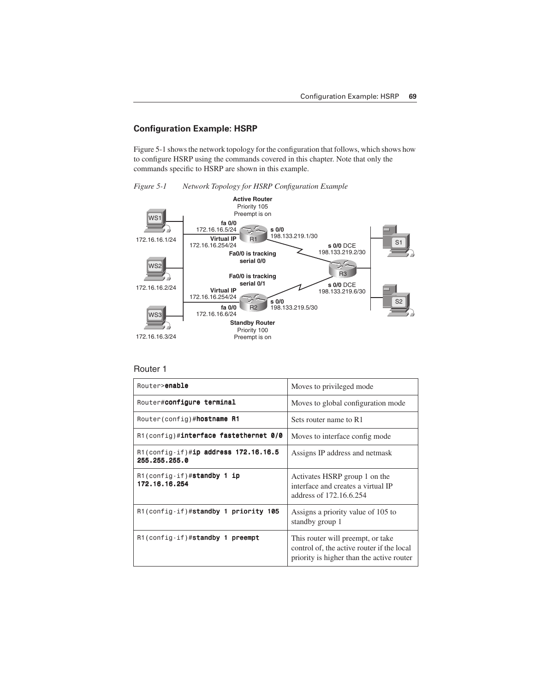## **Configuration Example: HSRP**

Figure 5-1 shows the network topology for the configuration that follows, which shows how to configure HSRP using the commands covered in this chapter. Note that only the commands specific to HSRP are shown in this example.

*Figure 5-1 Network Topology for HSRP Configuration Example*



#### Router 1

| Router>enable                                            | Moves to privileged mode                                                                                                     |
|----------------------------------------------------------|------------------------------------------------------------------------------------------------------------------------------|
| Router# <b>configure terminal</b>                        | Moves to global configuration mode.                                                                                          |
| Router (config)#hostname R1                              | Sets router name to R1                                                                                                       |
| R1(config)#interface fastethernet 0/0                    | Moves to interface config mode.                                                                                              |
| $R1$ (config-if)#ip address 172.16.16.5<br>255.255.255.0 | Assigns IP address and netmask                                                                                               |
| $R1$ (config-if)#standby 1 ip<br>172.16.16.254           | Activates HSRP group 1 on the<br>interface and creates a virtual IP<br>address of 172.16.6.254                               |
| R1(config-if)#standby 1 priority 105                     | Assigns a priority value of 105 to<br>standby group 1                                                                        |
| R1(config-if)#standby 1 preempt                          | This router will preempt, or take<br>control of, the active router if the local<br>priority is higher than the active router |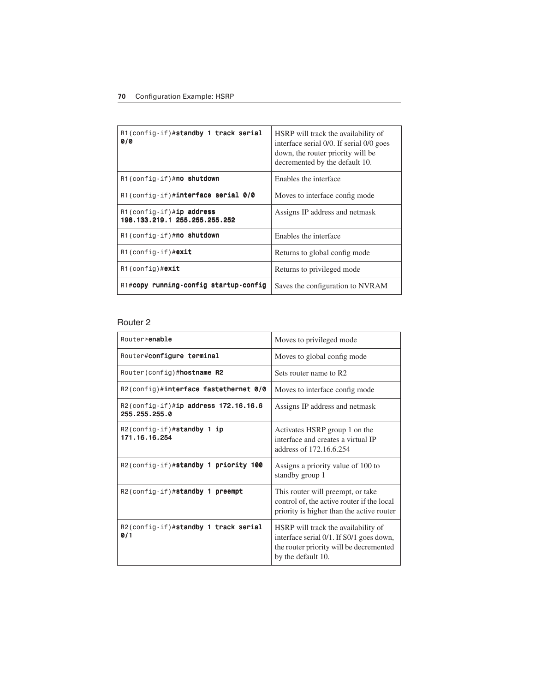| R1(config-if)#standby 1 track serial<br>0/0               | HSRP will track the availability of<br>interface serial 0/0. If serial 0/0 goes<br>down, the router priority will be<br>decremented by the default 10. |
|-----------------------------------------------------------|--------------------------------------------------------------------------------------------------------------------------------------------------------|
| $R1$ (config-if)# <b>no shutdown</b>                      | Enables the interface                                                                                                                                  |
| $R1$ (config-if)# <b>interface serial 0/0</b>             | Moves to interface config mode                                                                                                                         |
| R1(config-if)#ip address<br>198.133.219.1 255.255.255.252 | Assigns IP address and netmask                                                                                                                         |
| R1(config-if)#no shutdown                                 | Enables the interface                                                                                                                                  |
| $R1$ (config-if)# <b>exit</b>                             | Returns to global config mode                                                                                                                          |
| $R1$ (config)# <b>exit</b>                                | Returns to privileged mode                                                                                                                             |
| R1#copy running-config startup-config                     | Saves the configuration to NVRAM                                                                                                                       |

## Router 2

| Router>enable                                            | Moves to privileged mode                                                                                                                         |
|----------------------------------------------------------|--------------------------------------------------------------------------------------------------------------------------------------------------|
| Router#configure terminal                                | Moves to global config mode                                                                                                                      |
| Router(config)# <b>hostname R2</b>                       | Sets router name to R2                                                                                                                           |
| R2(config)#interface fastethernet 0/0                    | Moves to interface config mode.                                                                                                                  |
| $R2$ (config-if)#ip address 172.16.16.6<br>255.255.255.0 | Assigns IP address and netmask                                                                                                                   |
| $R2$ (config-if)#standby 1 ip<br>171.16.16.254           | Activates HSRP group 1 on the<br>interface and creates a virtual IP<br>address of 172.16.6.254                                                   |
| R2(config-if)#standby 1 priority 100                     | Assigns a priority value of 100 to<br>standby group 1                                                                                            |
| R2(config-if)#standby 1 preempt                          | This router will preempt, or take<br>control of, the active router if the local<br>priority is higher than the active router                     |
| R2(config-if)#standby 1 track serial<br>0/1              | HSRP will track the availability of<br>interface serial 0/1. If S0/1 goes down,<br>the router priority will be decremented<br>by the default 10. |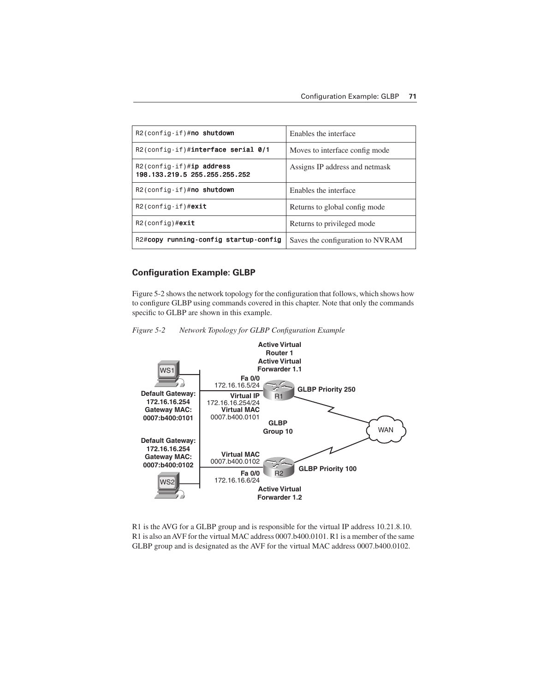| $R2$ (config-if)#no shutdown                                 | Enables the interface            |
|--------------------------------------------------------------|----------------------------------|
| R2(config-if)#interface serial 0/1                           | Moves to interface config mode.  |
| $R2$ (config-if)#ip address<br>198.133.219.5 255.255.255.252 | Assigns IP address and netmask   |
| $R2$ (config-if)#no shutdown                                 | Enables the interface            |
| $R2$ (config-if)#exit                                        | Returns to global config mode    |
| $R2$ (config)# <b>exit</b>                                   | Returns to privileged mode       |
| R2#copy running-config startup-config                        | Saves the configuration to NVRAM |

### **Configuration Example: GLBP**

Figure 5-2 shows the network topology for the configuration that follows, which shows how to configure GLBP using commands covered in this chapter. Note that only the commands specific to GLBP are shown in this example.





R1 is the AVG for a GLBP group and is responsible for the virtual IP address 10.21.8.10. R1 is also an AVF for the virtual MAC address 0007.b400.0101. R1 is a member of the same GLBP group and is designated as the AVF for the virtual MAC address 0007.b400.0102.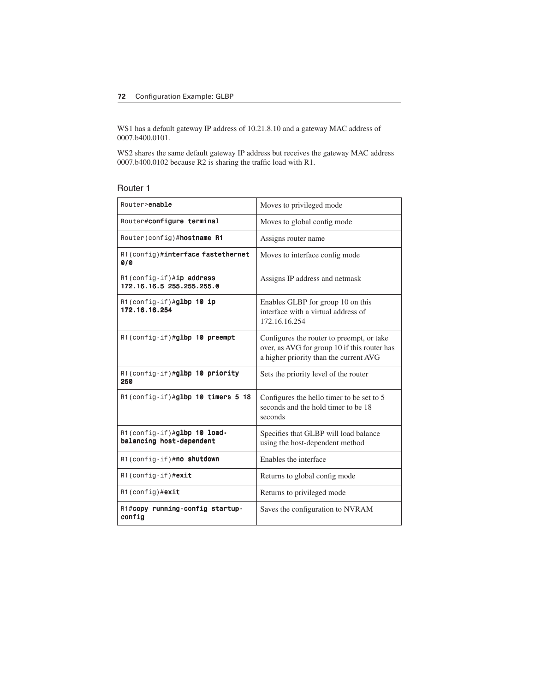WS1 has a default gateway IP address of 10.21.8.10 and a gateway MAC address of 0007.b400.0101.

WS2 shares the same default gateway IP address but receives the gateway MAC address 0007.b400.0102 because R2 is sharing the traffic load with R1.

| Router |  |
|--------|--|
|--------|--|

| Router>enable                                           | Moves to privileged mode                                                                                                            |
|---------------------------------------------------------|-------------------------------------------------------------------------------------------------------------------------------------|
| Router#configure terminal                               | Moves to global config mode                                                                                                         |
| Router(config)#hostname R1                              | Assigns router name                                                                                                                 |
| R1(config)#interface fastethernet<br>010                | Moves to interface config mode                                                                                                      |
| R1(config-if)#ip address<br>172.16.16.5 255.255.255.0   | Assigns IP address and netmask                                                                                                      |
| $R1$ (config-if)#glbp 10 ip<br>172.16.16.254            | Enables GLBP for group 10 on this<br>interface with a virtual address of<br>172.16.16.254                                           |
| R1(config-if)#glbp 10 preempt                           | Configures the router to preempt, or take<br>over, as AVG for group 10 if this router has<br>a higher priority than the current AVG |
| R1(config-if)#glbp 10 priority<br>250                   | Sets the priority level of the router                                                                                               |
| R1(config-if)#glbp 10 timers 5 18                       | Configures the hello timer to be set to 5<br>seconds and the hold timer to be 18<br>seconds                                         |
| R1(config-if)#glbp 10 load-<br>balancing host-dependent | Specifies that GLBP will load balance<br>using the host-dependent method                                                            |
| R1(config-if)#no shutdown                               | Enables the interface                                                                                                               |
| $R1$ (config-if) #exit                                  | Returns to global config mode                                                                                                       |
| $R1$ (config) #exit                                     | Returns to privileged mode                                                                                                          |
| R1#copy running-config startup-<br>config               | Saves the configuration to NVRAM                                                                                                    |